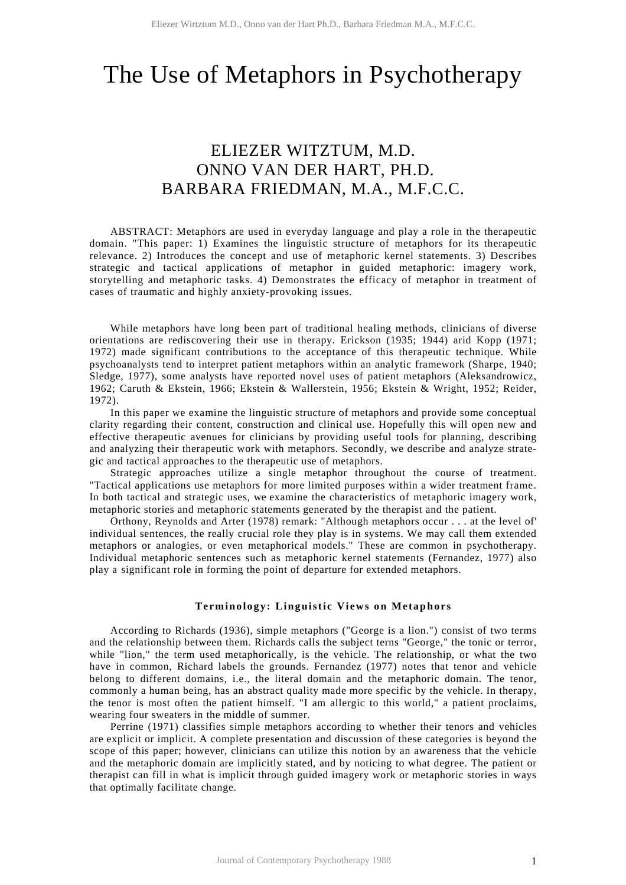# The Use of Metaphors in Psychotherapy

## ELIEZER WITZTUM, M.D. ONNO VAN DER HART, PH.D. BARBARA FRIEDMAN, M.A., M.F.C.C.

ABSTRACT: Metaphors are used in everyday language and play a role in the therapeutic domain. "This paper: 1) Examines the linguistic structure of metaphors for its therapeutic relevance. 2) Introduces the concept and use of metaphoric kernel statements. 3) Describes strategic and tactical applications of metaphor in guided metaphoric: imagery work, storytelling and metaphoric tasks. 4) Demonstrates the efficacy of metaphor in treatment of cases of traumatic and highly anxiety-provoking issues.

While metaphors have long been part of traditional healing methods, clinicians of diverse orientations are rediscovering their use in therapy. Erickson (1935; 1944) arid Kopp (1971; 1972) made significant contributions to the acceptance of this therapeutic technique. While psychoanalysts tend to interpret patient metaphors within an analytic framework (Sharpe, 1940; Sledge, 1977), some analysts have reported novel uses of patient metaphors (Aleksandrowicz, 1962; Caruth & Ekstein, 1966; Ekstein & Wallerstein, 1956; Ekstein & Wright, 1952; Reider, 1972).

In this paper we examine the linguistic structure of metaphors and provide some conceptual clarity regarding their content, construction and clinical use. Hopefully this will open new and effective therapeutic avenues for clinicians by providing useful tools for planning, describing and analyzing their therapeutic work with metaphors. Secondly, we describe and analyze strategic and tactical approaches to the therapeutic use of metaphors.

Strategic approaches utilize a single metaphor throughout the course of treatment. "Tactical applications use metaphors for more limited purposes within a wider treatment frame. In both tactical and strategic uses, we examine the characteristics of metaphoric imagery work, metaphoric stories and metaphoric statements generated by the therapist and the patient.

Orthony, Reynolds and Arter (1978) remark: "Although metaphors occur . . . at the level of' individual sentences, the really crucial role they play is in systems. We may call them extended metaphors or analogies, or even metaphorical models." These are common in psychotherapy. Individual metaphoric sentences such as metaphoric kernel statements (Fernandez, 1977) also play a significant role in forming the point of departure for extended metaphors.

#### **Terminology: Linguisti c Views on Metaphors**

According to Richards (1936), simple metaphors ("George is a lion.") consist of two terms and the relationship between them. Richards calls the subject terns "George," the tonic or terror, while "lion," the term used metaphorically, is the vehicle. The relationship, or what the two have in common, Richard labels the grounds. Fernandez (1977) notes that tenor and vehicle belong to different domains, i.e., the literal domain and the metaphoric domain. The tenor, commonly a human being, has an abstract quality made more specific by the vehicle. In therapy, the tenor is most often the patient himself. "I am allergic to this world," a patient proclaims, wearing four sweaters in the middle of summer.

Perrine (1971) classifies simple metaphors according to whether their tenors and vehicles are explicit or implicit. A complete presentation and discussion of these categories is beyond the scope of this paper; however, clinicians can utilize this notion by an awareness that the vehicle and the metaphoric domain are implicitly stated, and by noticing to what degree. The patient or therapist can fill in what is implicit through guided imagery work or metaphoric stories in ways that optimally facilitate change.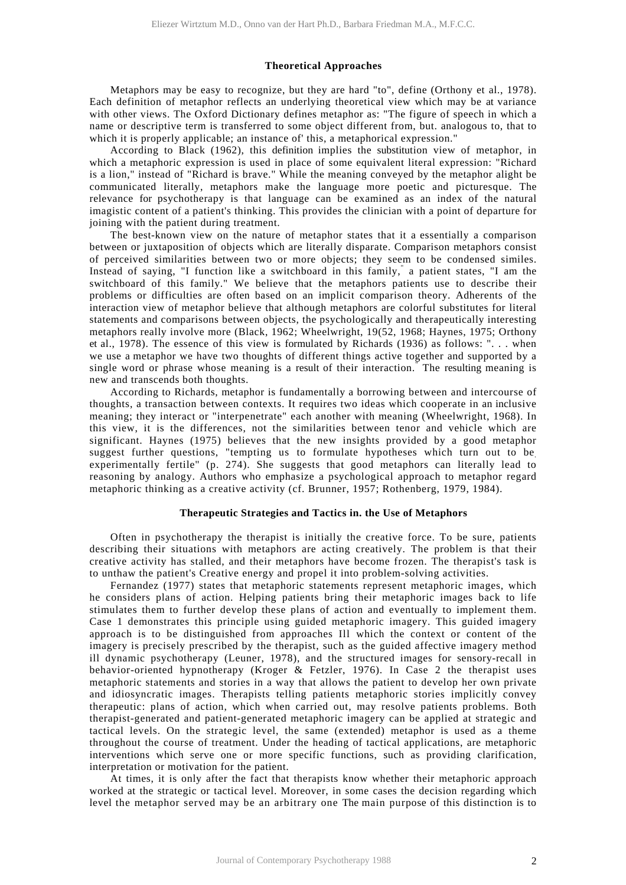#### **Theoretical Approaches**

Metaphors may be easy to recognize, but they are hard "to", define (Orthony et al., 1978). Each definition of metaphor reflects an underlying theoretical view which may be at variance with other views. The Oxford Dictionary defines metaphor as: "The figure of speech in which a name or descriptive term is transferred to some object different from, but. analogous to, that to which it is properly applicable; an instance of this, a metaphorical expression."

According to Black (1962), this definition implies the substitution view of metaphor, in which a metaphoric expression is used in place of some equivalent literal expression: "Richard is a lion," instead of "Richard is brave." While the meaning conveyed by the metaphor alight be communicated literally, metaphors make the language more poetic and picturesque. The relevance for psychotherapy is that language can be examined as an index of the natural imagistic content of a patient's thinking. This provides the clinician with a point of departure for joining with the patient during treatment.

The best-known view on the nature of metaphor states that it a essentially a comparison between or juxtaposition of objects which are literally disparate. Comparison metaphors consist of perceived similarities between two or more objects; they seem to be condensed similes. Instead of saying, "I function like a switchboard in this family," a patient states, "I am the switchboard of this family." We believe that the metaphors patients use to describe their problems or difficulties are often based on an implicit comparison theory. Adherents of the interaction view of metaphor believe that although metaphors are colorful substitutes for literal statements and comparisons between objects, the psychologically and therapeutically interesting metaphors really involve more (Black, 1962; Wheelwright, 19(52, 1968; Haynes, 1975; Orthony et al., 1978). The essence of this view is formulated by Richards (1936) as follows: ". . . when we use a metaphor we have two thoughts of different things active together and supported by a single word or phrase whose meaning is a result of their interaction." The resulting meaning is new and transcends both thoughts.

According to Richards, metaphor is fundamentally a borrowing between and intercourse of thoughts, a transaction between contexts. It requires two ideas which cooperate in an inclusive meaning; they interact or "interpenetrate" each another with meaning (Wheelwright, 1968). In this view, it is the differences, not the similarities between tenor and vehicle which are significant. Haynes (1975) believes that the new insights provided by a good metaphor suggest further questions, "tempting us to formulate hypotheses which turn out to be. experimentally fertile" (p. 274). She suggests that good metaphors can literally lead to reasoning by analogy. Authors who emphasize a psychological approach to metaphor regard metaphoric thinking as a creative activity (cf. Brunner, 1957; Rothenberg, 1979, 1984).

#### **Therapeutic Strategies and Tactics in. the Use of Metaphors**

Often in psychotherapy the therapist is initially the creative force. To be sure, patients describing their situations with metaphors are acting creatively. The problem is that their creative activity has stalled, and their metaphors have become frozen. The therapist's task is to unthaw the patient's Creative energy and propel it into problem-solving activities.

Fernandez (1977) states that metaphoric statements represent metaphoric images, which he considers plans of action. Helping patients bring their metaphoric images back to life stimulates them to further develop these plans of action and eventually to implement them. Case 1 demonstrates this principle using guided metaphoric imagery. This guided imagery approach is to be distinguished from approaches Ill which the context or content of the imagery is precisely prescribed by the therapist, such as the guided affective imagery method ill dynamic psychotherapy (Leuner, 1978), and the structured images for sensory-recall in behavior-oriented hypnotherapy (Kroger & Fetzler, 1976). In Case 2 the therapist uses metaphoric statements and stories in a way that allows the patient to develop her own private and idiosyncratic images. Therapists telling patients metaphoric stories implicitly convey therapeutic: plans of action, which when carried out, may resolve patients problems. Both therapist-generated and patient-generated metaphoric imagery can be applied at strategic and tactical levels. On the strategic level, the same (extended) metaphor is used as a theme throughout the course of treatment. Under the heading of tactical applications, are metaphoric interventions which serve one or more specific functions, such as providing clarification, interpretation or motivation for the patient.

At times, it is only after the fact that therapists know whether their metaphoric approach worked at the strategic or tactical level. Moreover, in some cases the decision regarding which level the metaphor served may be an arbitrary one The main purpose of this distinction is to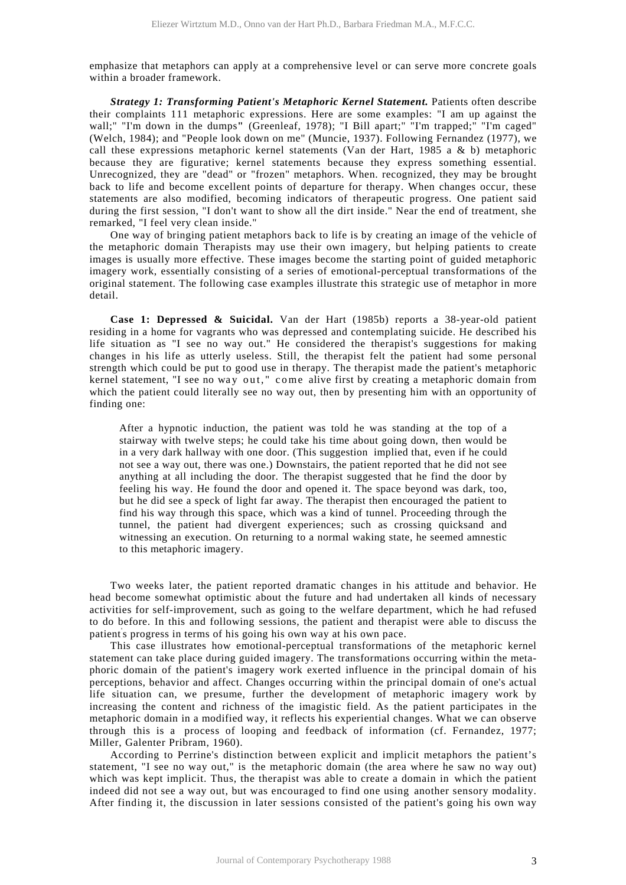emphasize that metaphors can apply at a comprehensive level or can serve more concrete goals within a broader framework.

**Strategy 1: Transforming Patient's Metaphoric Kernel Statement.** Patients often describe their complaints 111 metaphoric expressions. Here are some examples: "I am up against the wall;" "I'm down in the dumps**"** (Greenleaf, 1978); "I Bill apart;" "I'm trapped;" "I'm caged" (Welch, 1984); and "People look down on me" (Muncie, 1937). Following Fernandez (1977), we call these expressions metaphoric kernel statements (Van der Hart, 1985 a & b) metaphoric because they are figurative; kernel statements because they express something essential. Unrecognized, they are "dead" or "frozen" metaphors. When. recognized, they may be brought back to life and become excellent points of departure for therapy. When changes occur, these statements are also modified, becoming indicators of therapeutic progress. One patient said during the first session, "I don't want to show all the dirt inside." Near the end of treatment, she remarked, "I feel very clean inside."

One way of bringing patient metaphors back to life is by creating an image of the vehicle of the metaphoric domain Therapists may use their own imagery, but helping patients to create images is usually more effective. These images become the starting point of guided metaphoric imagery work, essentially consisting of a series of emotional-perceptual transformations of the original statement. The following case examples illustrate this strategic use of metaphor in more detail.

**Case 1: Depressed & Suicidal.** Van der Hart (1985b) reports a 38-year-old patient residing in a home for vagrants who was depressed and contemplating suicide. He described his life situation as "I see no way out." He considered the therapist's suggestions for making changes in his life as utterly useless. Still, the therapist felt the patient had some personal strength which could be put to good use in therapy. The therapist made the patient's metaphoric kernel statement, "I see no way out," come alive first by creating a metaphoric domain from which the patient could literally see no way out, then by presenting him with an opportunity of finding one:

After a hypnotic induction, the patient was told he was standing at the top of a stairway with twelve steps; he could take his time about going down, then would be in a very dark hallway with one door. (This suggestion implied that, even if he could not see a way out, there was one.) Downstairs, the patient reported that he did not see anything at all including the door. The therapist suggested that he find the door by feeling his way. He found the door and opened it. The space beyond was dark, too, but he did see a speck of light far away. The therapist then encouraged the patient to find his way through this space, which was a kind of tunnel. Proceeding through the tunnel, the patient had divergent experiences; such as crossing quicksand and witnessing an execution. On returning to a normal waking state, he seemed amnestic to this metaphoric imagery.

Two weeks later, the patient reported dramatic changes in his attitude and behavior. He head become somewhat optimistic about the future and had undertaken all kinds of necessary activities for self-improvement, such as going to the welfare department, which he had refused to do before. In this and following sessions, the patient and therapist were able to discuss the patient' s progress in terms of his going his own way at his own pace.

This case illustrates how emotional-perceptual transformations of the metaphoric kernel statement can take place during guided imagery. The transformations occurring within the metaphoric domain of the patient's imagery work exerted influence in the principal domain of his perceptions, behavior and affect. Changes occurring within the principal domain of one's actual life situation can, we presume, further the development of metaphoric imagery work by increasing the content and richness of the imagistic field. As the patient participates in the metaphoric domain in a modified way, it reflects his experiential changes. What we can observe through this is a process of looping and feedback of information (cf. Fernandez, 1977; Miller, Galenter Pribram, 1960).

According to Perrine's distinction between explicit and implicit metaphors the patient's statement, "I see no way out," is the metaphoric domain (the area where he saw no way out) which was kept implicit. Thus, the therapist was able to create a domain in which the patient indeed did not see a way out, but was encouraged to find one using another sensory modality. After finding it, the discussion in later sessions consisted of the patient's going his own way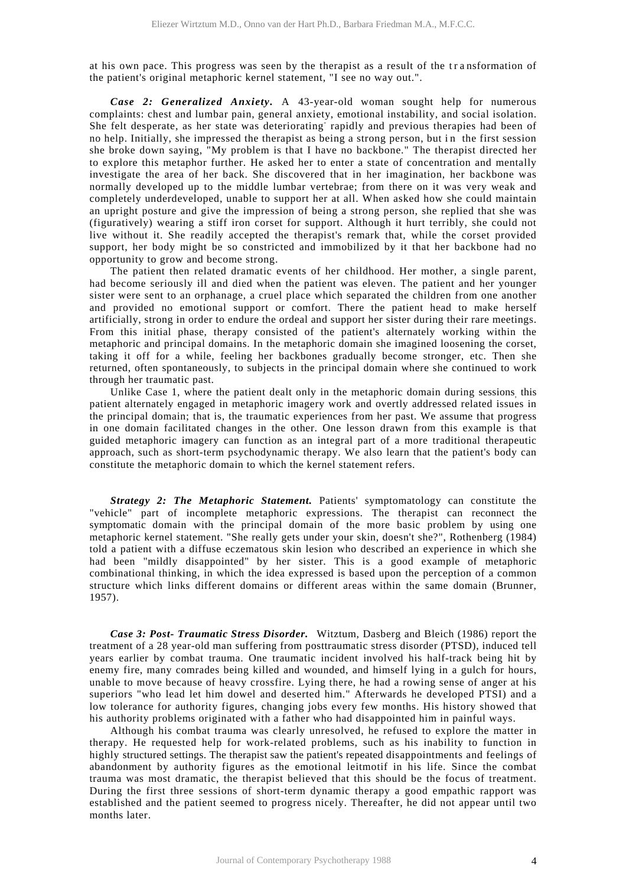at his own pace. This progress was seen by the therapist as a result of the transformation of the patient's original metaphoric kernel statement, "I see no way out.".

*Case 2: Generalized Anxiety.* A 43-year-old woman sought help for numerous complaints: chest and lumbar pain, general anxiety, emotional instability, and social isolation. She felt desperate, as her state was deteriorating rapidly and previous therapies had been of no help. Initially, she impressed the therapist as being a strong person, but in the first session she broke down saying, "My problem is that I have no backbone." The therapist directed her to explore this metaphor further. He asked her to enter a state of concentration and mentally investigate the area of her back. She discovered that in her imagination, her backbone was normally developed up to the middle lumbar vertebrae; from there on it was very weak and completely underdeveloped, unable to support her at all. When asked how she could maintain an upright posture and give the impression of being a strong person, she replied that she was (figuratively) wearing a stiff iron corset for support. Although it hurt terribly, she could not live without it. She readily accepted the therapist's remark that, while the corset provided support, her body might be so constricted and immobilized by it that her backbone had no opportunity to grow and become strong.

The patient then related dramatic events of her childhood. Her mother, a single parent, had become seriously ill and died when the patient was eleven. The patient and her younger sister were sent to an orphanage, a cruel place which separated the children from one another and provided no emotional support or comfort. There the patient head to make herself artificially, strong in order to endure the ordeal and support her sister during their rare meetings. From this initial phase, therapy consisted of the patient's alternately working within the metaphoric and principal domains. In the metaphoric domain she imagined loosening the corset, taking it off for a while, feeling her backbones gradually become stronger, etc. Then she returned, often spontaneously, to subjects in the principal domain where she continued to work through her traumatic past.

Unlike Case 1, where the patient dealt only in the metaphoric domain during sessions this patient alternately engaged in metaphoric imagery work and overtly addressed related issues in the principal domain; that is, the traumatic experiences from her past. We assume that progress in one domain facilitated changes in the other. One lesson drawn from this example is that guided metaphoric imagery can function as an integral part of a more traditional therapeutic approach, such as short-term psychodynamic therapy. We also learn that the patient's body can constitute the metaphoric domain to which the kernel statement refers.

*Strategy 2: The Metaphoric Statement.* Patients' symptomatology can constitute the "vehicle" part of incomplete metaphoric expressions. The therapist can reconnect the symptomatic domain with the principal domain of the more basic problem by using one metaphoric kernel statement. "She really gets under your skin, doesn't she?", Rothenberg (1984) told a patient with a diffuse eczematous skin lesion who described an experience in which she had been "mildly disappointed" by her sister. This is a good example of metaphoric combinational thinking, in which the idea expressed is based upon the perception of a common structure which links different domains or different areas within the same domain (Brunner, 1957).

*Case 3: Post- Traumatic Stress Disorder.* Witztum, Dasberg and Bleich (1986) report the treatment of a 28 year-old man suffering from posttraumatic stress disorder (PTSD), induced tell years earlier by combat trauma. One traumatic incident involved his half-track being hit by enemy fire, many comrades being killed and wounded, and himself lying in a gulch for hours, unable to move because of heavy crossfire. Lying there, he had a rowing sense of anger at his superiors "who lead let him dowel and deserted him." Afterwards he developed PTSI) and a low tolerance for authority figures, changing jobs every few months. His history showed that his authority problems originated with a father who had disappointed him in painful ways.

Although his combat trauma was clearly unresolved, he refused to explore the matter in therapy. He requested help for work-related problems, such as his inability to function in highly structured settings. The therapist saw the patient's repeated disappointments and feelings of abandonment by authority figures as the emotional leitmotif in his life. Since the combat trauma was most dramatic, the therapist believed that this should be the focus of treatment. During the first three sessions of short-term dynamic therapy a good empathic rapport was established and the patient seemed to progress nicely. Thereafter, he did not appear until two months later.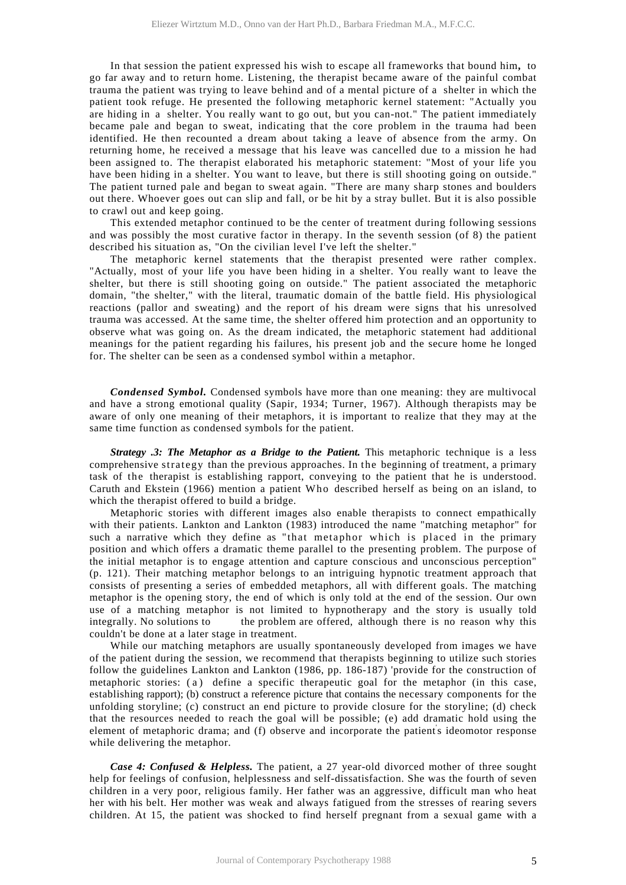In that session the patient expressed his wish to escape all frameworks that bound him**,** to go far away and to return home. Listening, the therapist became aware of the painful combat trauma the patient was trying to leave behind and of a mental picture of a shelter in which the patient took refuge. He presented the following metaphoric kernel statement: "Actually you are hiding in a shelter. You really want to go out, but you can-not." The patient immediately became pale and began to sweat, indicating that the core problem in the trauma had been identified. He then recounted a dream about taking a leave of absence from the army. On returning home, he received a message that his leave was cancelled due to a mission he had been assigned to. The therapist elaborated his metaphoric statement: "Most of your life you have been hiding in a shelter. You want to leave, but there is still shooting going on outside." The patient turned pale and began to sweat again. "There are many sharp stones and boulders out there. Whoever goes out can slip and fall, or be hit by a stray bullet. But it is also possible to crawl out and keep going.

This extended metaphor continued to be the center of treatment during following sessions and was possibly the most curative factor in therapy. In the seventh session (of 8) the patient described his situation as, "On the civilian level I've left the shelter."

The metaphoric kernel statements that the therapist presented were rather complex. "Actually, most of your life you have been hiding in a shelter. You really want to leave the shelter, but there is still shooting going on outside." The patient associated the metaphoric domain, "the shelter," with the literal, traumatic domain of the battle field. His physiological reactions (pallor and sweating) and the report of his dream were signs that his unresolved trauma was accessed. At the same time, the shelter offered him protection and an opportunity to observe what was going on. As the dream indicated, the metaphoric statement had additional meanings for the patient regarding his failures, his present job and the secure home he longed for. The shelter can be seen as a condensed symbol within a metaphor.

*Condensed Symbol.* Condensed symbols have more than one meaning: they are multivocal and have a strong emotional quality (Sapir, 1934; Turner, 1967). Although therapists may be aware of only one meaning of their metaphors, it is important to realize that they may at the same time function as condensed symbols for the patient.

*Strategy .3: The Metaphor as a Bridge to the Patient.* This metaphoric technique is a less comprehensive strategy than the previous approaches. In the beginning of treatment, a primary task of the therapist is establishing rapport, conveying to the patient that he is understood. Caruth and Ekstein (1966) mention a patient Who described herself as being on an island, to which the therapist offered to build a bridge.

Metaphoric stories with different images also enable therapists to connect empathically with their patients. Lankton and Lankton (1983) introduced the name "matching metaphor" for such a narrative which they define as "that metaphor which is placed in the primary position and which offers a dramatic theme parallel to the presenting problem. The purpose of the initial metaphor is to engage attention and capture conscious and unconscious perception" (p. 121). Their matching metaphor belongs to an intriguing hypnotic treatment approach that consists of presenting a series of embedded metaphors, all with different goals. The matching metaphor is the opening story, the end of which is only told at the end of the session. Our own use of a matching metaphor is not limited to hypnotherapy and the story is usually told integrally. No solutions to the problem are offered, although there is no reason why this couldn't be done at a later stage in treatment.

While our matching metaphors are usually spontaneously developed from images we have of the patient during the session, we recommend that therapists beginning to utilize such stories follow the guidelines Lankton and Lankton (1986, pp. 186-187) 'provide for the construction of metaphoric stories: (a) define a specific therapeutic goal for the metaphor (in this case, establishing rapport); (b) construct a reference picture that contains the necessary components for the unfolding storyline; (c) construct an end picture to provide closure for the storyline; (d) check that the resources needed to reach the goal will be possible; (e) add dramatic hold using the element of metaphoric drama; and (f) observe and incorporate the patient's ideomotor response while delivering the metaphor.

*Case 4: Confused & Helpless.* The patient, a 27 year-old divorced mother of three sought help for feelings of confusion, helplessness and self-dissatisfaction. She was the fourth of seven children in a very poor, religious family. Her father was an aggressive, difficult man who heat her with his belt. Her mother was weak and always fatigued from the stresses of rearing severs children. At 15, the patient was shocked to find herself pregnant from a sexual game with a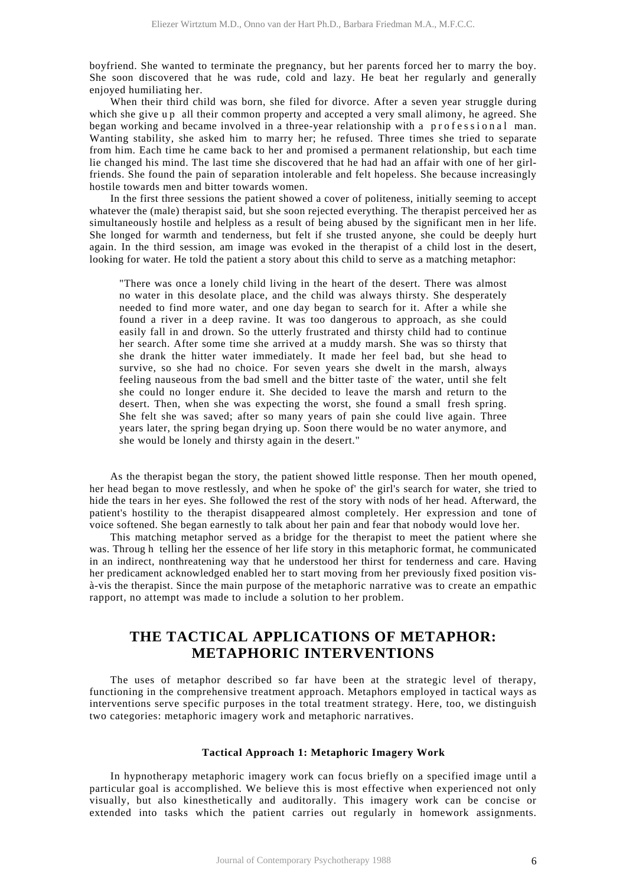boyfriend. She wanted to terminate the pregnancy, but her parents forced her to marry the boy. She soon discovered that he was rude, cold and lazy. He beat her regularly and generally enjoyed humiliating her.

When their third child was born, she filed for divorce. After a seven year struggle during which she give up all their common property and accepted a very small alimony, he agreed. She began working and became involved in a three-year relationship with a professional man. Wanting stability, she asked him to marry her; he refused. Three times she tried to separate from him. Each time he came back to her and promised a permanent relationship, but each time lie changed his mind. The last time she discovered that he had had an affair with one of her girlfriends. She found the pain of separation intolerable and felt hopeless. She because increasingly hostile towards men and bitter towards women.

In the first three sessions the patient showed a cover of politeness, initially seeming to accept whatever the (male) therapist said, but she soon rejected everything. The therapist perceived her as simultaneously hostile and helpless as a result of being abused by the significant men in her life. She longed for warmth and tenderness, but felt if she trusted anyone, she could be deeply hurt again. In the third session, am image was evoked in the therapist of a child lost in the desert, looking for water. He told the patient a story about this child to serve as a matching metaphor:

"There was once a lonely child living in the heart of the desert. There was almost no water in this desolate place, and the child was always thirsty. She desperately needed to find more water, and one day began to search for it. After a while she found a river in a deep ravine. It was too dangerous to approach, as she could easily fall in and drown. So the utterly frustrated and thirsty child had to continue her search. After some time she arrived at a muddy marsh. She was so thirsty that she drank the hitter water immediately. It made her feel bad, but she head to survive, so she had no choice. For seven years she dwelt in the marsh, always feeling nauseous from the bad smell and the bitter taste of the water, until she felt she could no longer endure it. She decided to leave the marsh and return to the desert. Then, when she was expecting the worst, she found a small fresh spring. She felt she was saved; after so many years of pain she could live again. Three years later, the spring began drying up. Soon there would be no water anymore, and she would be lonely and thirsty again in the desert."

As the therapist began the story, the patient showed little response. Then her mouth opened, her head began to move restlessly, and when he spoke of' the girl's search for water, she tried to hide the tears in her eyes. She followed the rest of the story with nods of her head. Afterward, the patient's hostility to the therapist disappeared almost completely. Her expression and tone of voice softened. She began earnestly to talk about her pain and fear that nobody would love her.

This matching metaphor served as a bridge for the therapist to meet the patient where she was. Throug h telling her the essence of her life story in this metaphoric format, he communicated in an indirect, nonthreatening way that he understood her thirst for tenderness and care. Having her predicament acknowledged enabled her to start moving from her previously fixed position visà-vis the therapist. Since the main purpose of the metaphoric narrative was to create an empathic rapport, no attempt was made to include a solution to her problem.

## **THE TACTICAL APPLICATIONS OF METAPHOR: METAPHORIC INTERVENTIONS**

The uses of metaphor described so far have been at the strategic level of therapy, functioning in the comprehensive treatment approach. Metaphors employed in tactical ways as interventions serve specific purposes in the total treatment strategy. Here, too, we distinguish two categories: metaphoric imagery work and metaphoric narratives.

#### **Tactical Approach 1: Metaphoric Imagery Work**

In hypnotherapy metaphoric imagery work can focus briefly on a specified image until a particular goal is accomplished. We believe this is most effective when experienced not only visually, but also kinesthetically and auditorally. This imagery work can be concise or extended into tasks which the patient carries out regularly in homework assignments.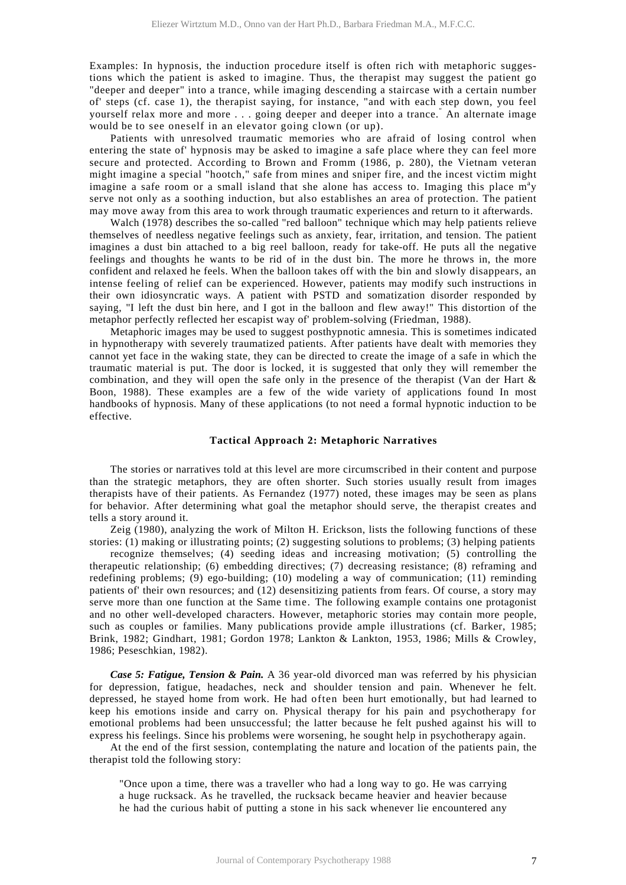Examples: In hypnosis, the induction procedure itself is often rich with metaphoric suggestions which the patient is asked to imagine. Thus, the therapist may suggest the patient go "deeper and deeper" into a trance, while imaging descending a staircase with a certain number of' steps (cf. case 1), the therapist saying, for instance, "and with each step down, you feel yourself relax more and more . . . going deeper and deeper into a trance." An alternate image would be to see oneself in an elevator going clown (or up).

Patients with unresolved traumatic memories who are afraid of losing control when entering the state of' hypnosis may be asked to imagine a safe place where they can feel more secure and protected. According to Brown and Fromm (1986, p. 280), the Vietnam veteran might imagine a special "hootch," safe from mines and sniper fire, and the incest victim might imagine a safe room or a small island that she alone has access to. Imaging this place  $m^a$ y serve not only as a soothing induction, but also establishes an area of protection. The patient may move away from this area to work through traumatic experiences and return to it afterwards.

Walch (1978) describes the so-called "red balloon" technique which may help patients relieve themselves of needless negative feelings such as anxiety, fear, irritation, and tension. The patient imagines a dust bin attached to a big reel balloon, ready for take-off. He puts all the negative feelings and thoughts he wants to be rid of in the dust bin. The more he throws in, the more confident and relaxed he feels. When the balloon takes off with the bin and slowly disappears, an intense feeling of relief can be experienced. However, patients may modify such instructions in their own idiosyncratic ways. A patient with PSTD and somatization disorder responded by saying, "I left the dust bin here, and I got in the balloon and flew away!" This distortion of the metaphor perfectly reflected her escapist way of' problem-solving (Friedman, 1988).

Metaphoric images may be used to suggest posthypnotic amnesia. This is sometimes indicated in hypnotherapy with severely traumatized patients. After patients have dealt with memories they cannot yet face in the waking state, they can be directed to create the image of a safe in which the traumatic material is put. The door is locked, it is suggested that only they will remember the combination, and they will open the safe only in the presence of the therapist (Van der Hart  $\&$ Boon, 1988). These examples are a few of the wide variety of applications found In most handbooks of hypnosis. Many of these applications (to not need a formal hypnotic induction to be effective.

#### **Tactical Approach 2: Metaphoric Narratives**

The stories or narratives told at this level are more circumscribed in their content and purpose than the strategic metaphors, they are often shorter. Such stories usually result from images therapists have of their patients. As Fernandez (1977) noted, these images may be seen as plans for behavior. After determining what goal the metaphor should serve, the therapist creates and tells a story around it.

Zeig (1980), analyzing the work of Milton H. Erickson, lists the following functions of these stories: (1) making or illustrating points; (2) suggesting solutions to problems; (3) helping patients

recognize themselves; (4) seeding ideas and increasing motivation; (5) controlling the therapeutic relationship; (6) embedding directives; (7) decreasing resistance; (8) reframing and redefining problems; (9) ego-building; (10) modeling a way of communication; (11) reminding patients of' their own resources; and (12) desensitizing patients from fears. Of course, a story may serve more than one function at the Same time. The following example contains one protagonist and no other well-developed characters. However, metaphoric stories may contain more people, such as couples or families. Many publications provide ample illustrations (cf. Barker, 1985; Brink, 1982; Gindhart, 1981; Gordon 1978; Lankton & Lankton, 1953, 1986; Mills & Crowley, 1986; Peseschkian, 1982).

*Case 5: Fatigue, Tension & Pain.* A 36 year-old divorced man was referred by his physician for depression, fatigue, headaches, neck and shoulder tension and pain. Whenever he felt. depressed, he stayed home from work. He had often been hurt emotionally, but had learned to keep his emotions inside and carry on. Physical therapy for his pain and psychotherapy for emotional problems had been unsuccessful; the latter because he felt pushed against his will to express his feelings. Since his problems were worsening, he sought help in psychotherapy again.

At the end of the first session, contemplating the nature and location of the patients pain, the therapist told the following story:

"Once upon a time, there was a traveller who had a long way to go. He was carrying a huge rucksack. As he travelled, the rucksack became heavier and heavier because he had the curious habit of putting a stone in his sack whenever lie encountered any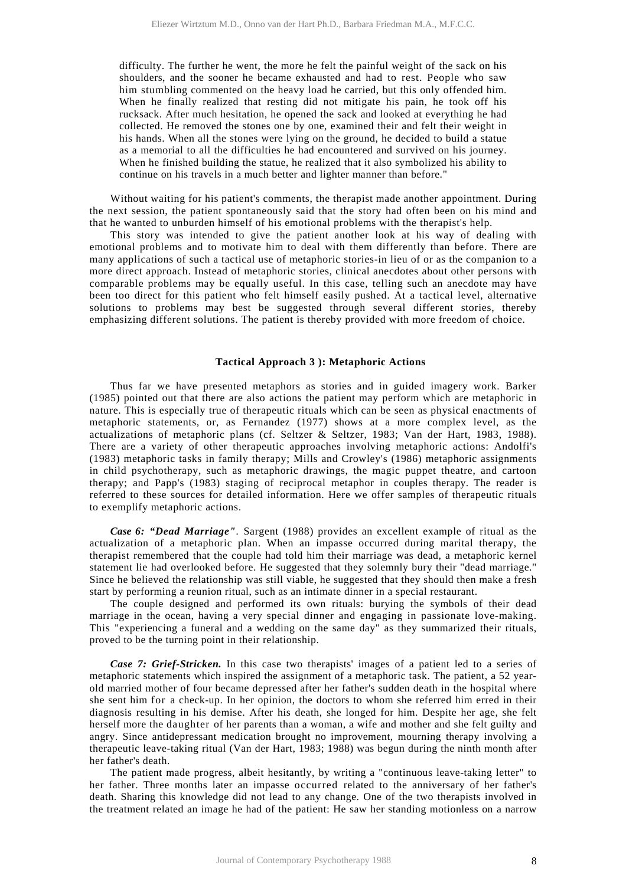difficulty. The further he went, the more he felt the painful weight of the sack on his shoulders, and the sooner he became exhausted and had to rest. People who saw him stumbling commented on the heavy load he carried, but this only offended him. When he finally realized that resting did not mitigate his pain, he took off his rucksack. After much hesitation, he opened the sack and looked at everything he had collected. He removed the stones one by one, examined their and felt their weight in his hands. When all the stones were lying on the ground, he decided to build a statue as a memorial to all the difficulties he had encountered and survived on his journey. When he finished building the statue, he realized that it also symbolized his ability to continue on his travels in a much better and lighter manner than before."

Without waiting for his patient's comments, the therapist made another appointment. During the next session, the patient spontaneously said that the story had often been on his mind and that he wanted to unburden himself of his emotional problems with the therapist's help.

This story was intended to give the patient another look at his way of dealing with emotional problems and to motivate him to deal with them differently than before. There are many applications of such a tactical use of metaphoric stories-in lieu of or as the companion to a more direct approach. Instead of metaphoric stories, clinical anecdotes about other persons with comparable problems may be equally useful. In this case, telling such an anecdote may have been too direct for this patient who felt himself easily pushed. At a tactical level, alternative solutions to problems may best be suggested through several different stories, thereby emphasizing different solutions. The patient is thereby provided with more freedom of choice.

#### **Tactical Approach 3 ): Metaphoric Actions**

Thus far we have presented metaphors as stories and in guided imagery work. Barker (1985) pointed out that there are also actions the patient may perform which are metaphoric in nature. This is especially true of therapeutic rituals which can be seen as physical enactments of metaphoric statements, or, as Fernandez (1977) shows at a more complex level, as the actualizations of metaphoric plans (cf. Seltzer & Seltzer, 1983; Van der Hart, 1983, 1988). There are a variety of other therapeutic approaches involving metaphoric actions: Andolfi's (1983) metaphoric tasks in family therapy; Mills and Crowley's (1986) metaphoric assignments in child psychotherapy, such as metaphoric drawings, the magic puppet theatre, and cartoon therapy; and Papp's (1983) staging of reciprocal metaphor in couples therapy. The reader is referred to these sources for detailed information. Here we offer samples of therapeutic rituals to exemplify metaphoric actions.

*Case 6: "Dead Marriage".* Sargent (1988) provides an excellent example of ritual as the actualization of a metaphoric plan. When an impasse occurred during marital therapy, the therapist remembered that the couple had told him their marriage was dead, a metaphoric kernel statement lie had overlooked before. He suggested that they solemnly bury their "dead marriage." Since he believed the relationship was still viable, he suggested that they should then make a fresh start by performing a reunion ritual, such as an intimate dinner in a special restaurant.

The couple designed and performed its own rituals: burying the symbols of their dead marriage in the ocean, having a very special dinner and engaging in passionate love-making. This "experiencing a funeral and a wedding on the same day" as they summarized their rituals, proved to be the turning point in their relationship.

*Case 7: Grief-Stricken.* In this case two therapists' images of a patient led to a series of metaphoric statements which inspired the assignment of a metaphoric task. The patient, a 52 yearold married mother of four became depressed after her father's sudden death in the hospital where she sent him for a check-up. In her opinion, the doctors to whom she referred him erred in their diagnosis resulting in his demise. After his death, she longed for him. Despite her age, she felt herself more the daughter of her parents than a woman, a wife and mother and she felt guilty and angry. Since antidepressant medication brought no improvement, mourning therapy involving a therapeutic leave-taking ritual (Van der Hart, 1983; 1988) was begun during the ninth month after her father's death.

The patient made progress, albeit hesitantly, by writing a "continuous leave-taking letter" to her father. Three months later an impasse occurred related to the anniversary of her father's death. Sharing this knowledge did not lead to any change. One of the two therapists involved in the treatment related an image he had of the patient: He saw her standing motionless on a narrow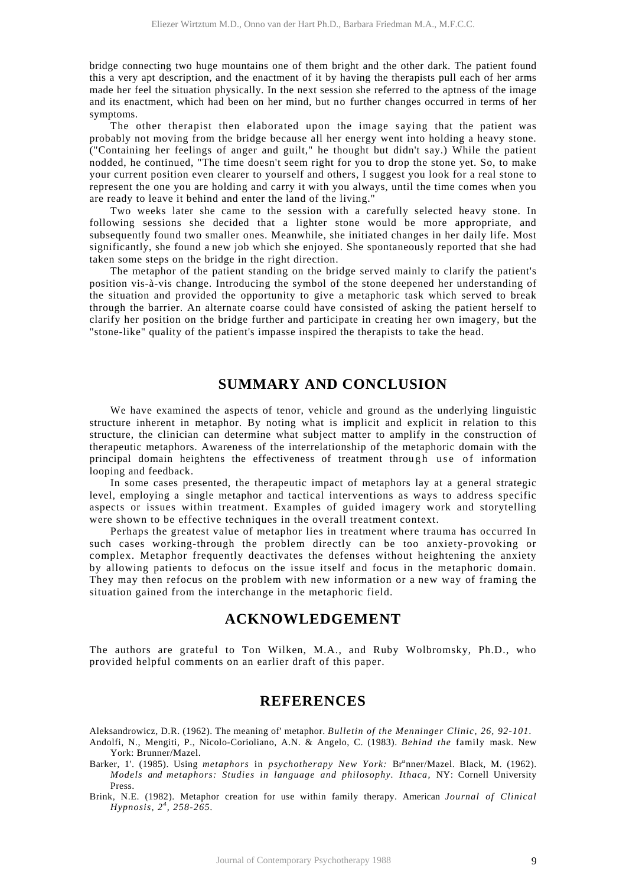bridge connecting two huge mountains one of them bright and the other dark. The patient found this a very apt description, and the enactment of it by having the therapists pull each of her arms made her feel the situation physically. In the next session she referred to the aptness of the image and its enactment, which had been on her mind, but no further changes occurred in terms of her symptoms.

The other therapist then elaborated upon the image saying that the patient was probably not moving from the bridge because all her energy went into holding a heavy stone. ("Containing her feelings of anger and guilt," he thought but didn't say.) While the patient nodded, he continued, "The time doesn't seem right for you to drop the stone yet. So, to make your current position even clearer to yourself and others, I suggest you look for a real stone to represent the one you are holding and carry it with you always, until the time comes when you are ready to leave it behind and enter the land of the living."

Two weeks later she came to the session with a carefully selected heavy stone. In following sessions she decided that a lighter stone would be more appropriate, and subsequently found two smaller ones. Meanwhile, she initiated changes in her daily life. Most significantly, she found a new job which she enjoyed. She spontaneously reported that she had taken some steps on the bridge in the right direction.

The metaphor of the patient standing on the bridge served mainly to clarify the patient's position vis-à-vis change. Introducing the symbol of the stone deepened her understanding of the situation and provided the opportunity to give a metaphoric task which served to break through the barrier. An alternate coarse could have consisted of asking the patient herself to clarify her position on the bridge further and participate in creating her own imagery, but the "stone-like" quality of the patient's impasse inspired the therapists to take the head.

## **SUMMARY AND CONCLUSION**

We have examined the aspects of tenor, vehicle and ground as the underlying linguistic structure inherent in metaphor. By noting what is implicit and explicit in relation to this structure, the clinician can determine what subject matter to amplify in the construction of therapeutic metaphors. Awareness of the interrelationship of the metaphoric domain with the principal domain heightens the effectiveness of treatment through use of information looping and feedback.

In some cases presented, the therapeutic impact of metaphors lay at a general strategic level, employing a single metaphor and tactical interventions as ways to address specific aspects or issues within treatment. Examples of guided imagery work and storytelling were shown to be effective techniques in the overall treatment context.

Perhaps the greatest value of metaphor lies in treatment where trauma has occurred In such cases working-through the problem directly can be too anxiety-provoking or complex. Metaphor frequently deactivates the defenses without heightening the anxiety by allowing patients to defocus on the issue itself and focus in the metaphoric domain. They may then refocus on the problem with new information or a new way of framing the situation gained from the interchange in the metaphoric field.

## **ACKNOWLEDGEMENT**

The authors are grateful to Ton Wilken, M.A., and Ruby Wolbromsky, Ph.D., who provided helpful comments on an earlier draft of this paper.

## **REFERENCES**

Aleksandrowicz, D.R. (1962). The meaning of' metaphor. *Bulletin of the Menninger Clinic, 26, 92-101.* 

- Andolfi, N., Mengiti, P., Nicolo-Corioliano, A.N. & Angelo, C. (1983). *Behind the* family mask. New York: Brunner/Mazel.
- Barker, 1'. (1985). Using *metaphors* in *psychotherapy New York:* Br*<sup>u</sup>* nner/Mazel. Black, M. (1962). *Models and metaphors: Studies in language and philosophy. Ithaca,* NY: Cornell University Press.
- Brink, N.E. (1982). Metaphor creation for use within family therapy. American *Journal of Clinical Hypnosis, 2<sup>4</sup> , 258-265.*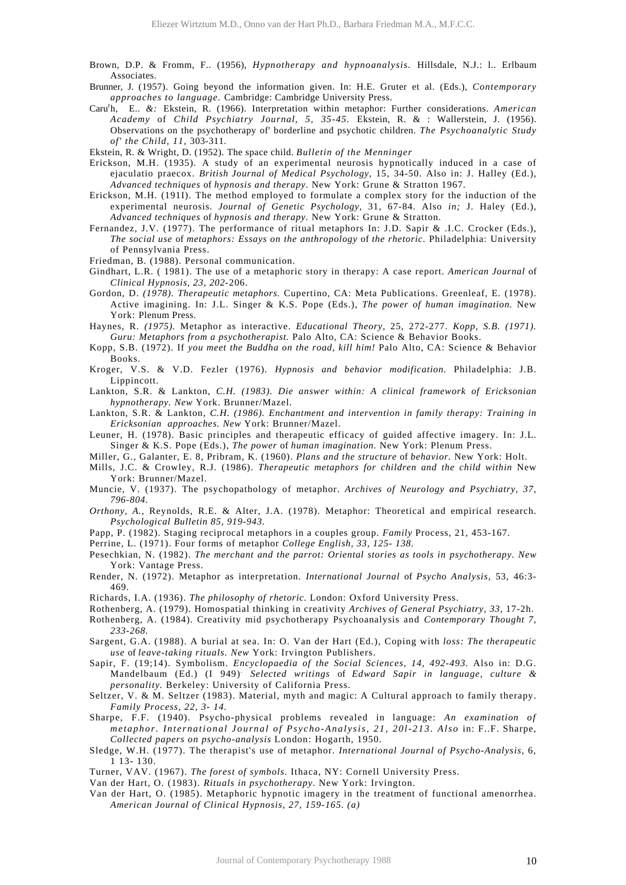- Brown, D.P. & Fromm, F.. (1956), *Hypnotherapy and hypnoanalysis.* Hillsdale, N.J.: l.. Erlbaum Associates.
- Brunner, J. (1957). Going beyond the information given. In: H.E. Gruter et al. (Eds.), *Contemporary approaches to language.* Cambridge: Cambridge University Press.
- Caru*<sup>t</sup>* h, E.. *&:* Ekstein, R. (1966). Interpretation within metaphor: Further considerations. *American Academy* of *Child Psychiatry Journal, 5, 35-45.* Ekstein, R. & : Wallerstein, J. (1956). Observations on the psychotherapy of' borderline and psychotic children. *The Psychoanalytic Study of' the Child, 11,* 303-311.

Ekstein, R. & Wright, D. (1952). The space child. *Bulletin of the Menninger* 

- Erickson, M.H. (1935). A study of an experimental neurosis hypnotically induced in a case of ejaculatio praecox. *British Journal of Medical Psychology,* 15, 34-50. Also in: J. Halley (Ed.), *Advanced techniques* of *hypnosis and therapy.* New York: Grune & Stratton 1967.
- Erickson, M.H. (191I). The method employed to formulate a complex story for the induction of the experimental neurosis. *Journal of Genetic Psychology,* 31, 67-84. Also *in;* J. Haley (Ed.), *Advanced techniques* of *hypnosis and therapy.* New York: Grune & Stratton.
- Fernandez, J.V. (1977). The performance of ritual metaphors In: J.D. Sapir & .I.C. Crocker (Eds.), *The social use* of *metaphors: Essays on the anthropology* of *the rhetoric.* Philadelphia: University of Pennsylvania Press.

Friedman, B. (1988). Personal communication.

- Gindhart, L.R. ( 1981). The use of a metaphoric story in therapy: A case report. *American Journal* of *Clinical Hypnosis, 23, 202*-206.
- Gordon, D. *(1978). Therapeutic metaphors.* Cupertino, CA: Meta Publications. Greenleaf, E. (1978). Active imagining. In: J.L. Singer & K.S. Pope (Eds.), *The power of human imagination.* New York: Plenum Press.
- Haynes, R. *(1975).* Metaphor as interactive. *Educational Theory,* 25, 272-277. *Kopp, S.B. (1971). Guru: Metaphors from a psychotherapist.* Palo Alto, CA: Science & Behavior Books.
- Kopp, S.B. (1972). If *you meet the Buddha on the road, kill him!* Palo Alto, CA: Science & Behavior Books.
- Kroger, V.S. & V.D. Fezler (1976). *Hypnosis and behavior modification.* Philadelphia: J.B. Lippincott.
- Lankton, S.R. & Lankton, *C.H. (1983). Die answer within: A clinical framework of Ericksonian hypnotherapy. New* York. Brunner/Mazel.
- Lankton, S.R. & Lankton, *C.H. (1986). Enchantment and intervention in family therapy: Training in Ericksonian approaches. New* York: Brunner/Mazel.
- Leuner, H. (1978). Basic principles and therapeutic efficacy of guided affective imagery. In: J.L. Singer & K.S. Pope (Eds.), *The power* of *human imagination.* New York: Plenum Press.

Miller, G., Galanter, E. 8, Pribram, K. (1960). *Plans and the structure* of *behavior.* New York: Holt.

- Mills, J.C. & Crowley, R.J. (1986). *Therapeutic metaphors for children and the child within* New York: Brunner/Mazel.
- Muncie, V. (1937). The psychopathology of metaphor. *Archives of Neurology and Psychiatry, 37, 796-804.*
- *Orthony, A.,* Reynolds, R.E. & Alter, J.A. (1978). Metaphor: Theoretical and empirical research. *Psychological Bulletin 85, 919-943.*
- Papp, P. (1982). Staging reciprocal metaphors in a couples group. *Family* Process, 21, 453-167.

Perrine, L. (1971). Four forms of metaphor *College English, 33, 125- 138.* 

- Pesechkian, N. (1982). *The merchant and the parrot: Oriental stories as tools in psychotherapy. New*  York: Vantage Press.
- Render, N. (1972). Metaphor as interpretation. *International Journal* of *Psycho Analysis,* 53, 46:3- 469.

Richards, I.A. (1936). *The philosophy of rhetoric.* London: Oxford University Press.

- Rothenberg, A. (1979). Homospatial thinking in creativity *Archives of General Psychiatry, 33,* 17-2h.
- Rothenberg, A. (1984). Creativity mid psychotherapy Psychoanalysis and *Contemporary Thought 7, 233-268.*
- Sargent, G.A. (1988). A burial at sea. In: O. Van der Hart (Ed.), Coping with *loss: The therapeutic use* of *leave-taking rituals. New* York: Irvington Publishers.
- Sapir, F. (19;14). Symbolism. *Encyclopaedia of the Social Sciences, 14, 492-493.* Also in: D.G. Mandelbaum (Ed.) (I 949)*. Selected writings* of *Edward Sapir in language, culture & personality.* Berkeley: University of California Press.
- Seltzer, V. & M. Seltzer (1983). Material, myth and magic: A Cultural approach to family therapy. *Family Process, 22, 3- 14.*
- Sharpe, F.F. (1940). Psycho-physical problems revealed in language: *An examination of metaphor. International Journal of Psycho-Analysis, 21, 20l-213. Also* in: F..F. Sharpe, *Collected papers on psycho-analysis* London: Hogarth, 1950.
- Sledge, W.H. (1977). The therapist's use of metaphor. *International Journal of Psycho-Analysis,* 6, 1 13- 130.
- Turner, VAV. (1967). *The forest of symbols.* Ithaca, NY: Cornell University Press.

Van der Hart, O. (1983). *Rituals in psychotherapy.* New York: Irvington.

Van der Hart, O. (1985). Metaphoric hypnotic imagery in the treatment of functional amenorrhea. *American Journal of Clinical Hypnosis, 27, 159-165. (a)*